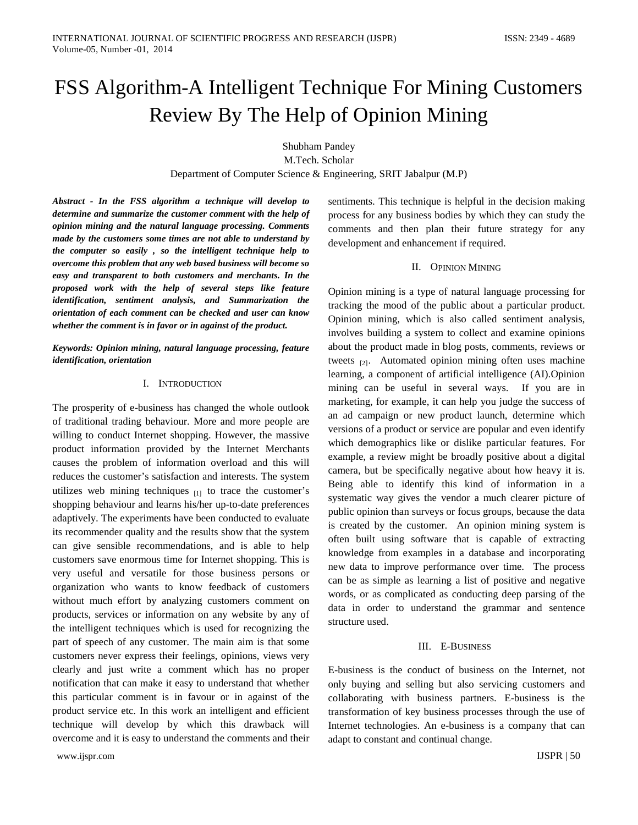# FSS Algorithm-A Intelligent Technique For Mining Customers Review By The Help of Opinion Mining

Shubham Pandey

M.Tech. Scholar Department of Computer Science & Engineering, SRIT Jabalpur (M.P)

*Abstract - In the FSS algorithm a technique will develop to determine and summarize the customer comment with the help of opinion mining and the natural language processing. Comments made by the customers some times are not able to understand by the computer so easily , so the intelligent technique help to overcome this problem that any web based business will become so easy and transparent to both customers and merchants. In the proposed work with the help of several steps like feature identification, sentiment analysis, and Summarization the orientation of each comment can be checked and user can know whether the comment is in favor or in against of the product.*

*Keywords: Opinion mining, natural language processing, feature identification, orientation*

## I. INTRODUCTION

The prosperity of e-business has changed the whole outlook of traditional trading behaviour. More and more people are willing to conduct Internet shopping. However, the massive product information provided by the Internet Merchants causes the problem of information overload and this will reduces the customer's satisfaction and interests. The system utilizes web mining techniques  $_{[1]}$  to trace the customer's shopping behaviour and learns his/her up-to-date preferences adaptively. The experiments have been conducted to evaluate its recommender quality and the results show that the system can give sensible recommendations, and is able to help customers save enormous time for Internet shopping. This is very useful and versatile for those business persons or organization who wants to know feedback of customers without much effort by analyzing customers comment on products, services or information on any website by any of the intelligent techniques which is used for recognizing the part of speech of any customer. The main aim is that some customers never express their feelings, opinions, views very clearly and just write a comment which has no proper notification that can make it easy to understand that whether this particular comment is in favour or in against of the product service etc. In this work an intelligent and efficient technique will develop by which this drawback will overcome and it is easy to understand the comments and their sentiments. This technique is helpful in the decision making process for any business bodies by which they can study the comments and then plan their future strategy for any development and enhancement if required.

#### II. OPINION MINING

Opinion mining is a type of natural language processing for tracking the mood of the public about a particular product. Opinion mining, which is also called sentiment analysis, involves building a system to collect and examine opinions about the product made in blog posts, comments, reviews or tweets [2]. Automated opinion mining often uses machine learning, a component of artificial intelligence (AI).Opinion mining can be useful in several ways. If you are in marketing, for example, it can help you judge the success of an ad campaign or new product launch, determine which versions of a product or service are popular and even identify which demographics like or dislike particular features. For example, a review might be broadly positive about a digital camera, but be specifically negative about how heavy it is. Being able to identify this kind of information in a systematic way gives the vendor a much clearer picture of public opinion than surveys or focus groups, because the data is created by the customer. An opinion mining system is often built using software that is capable of extracting knowledge from examples in a database and incorporating new data to improve performance over time. The process can be as simple as learning a list of positive and negative words, or as complicated as conducting deep parsing of the data in order to understand the grammar and sentence structure used.

## III. E-BUSINESS

E-business is the conduct of business on the Internet, not only buying and selling but also servicing customers and collaborating with business partners. E-business is the transformation of key business processes through the use of Internet technologies. An e-business is a company that can adapt to constant and continual change.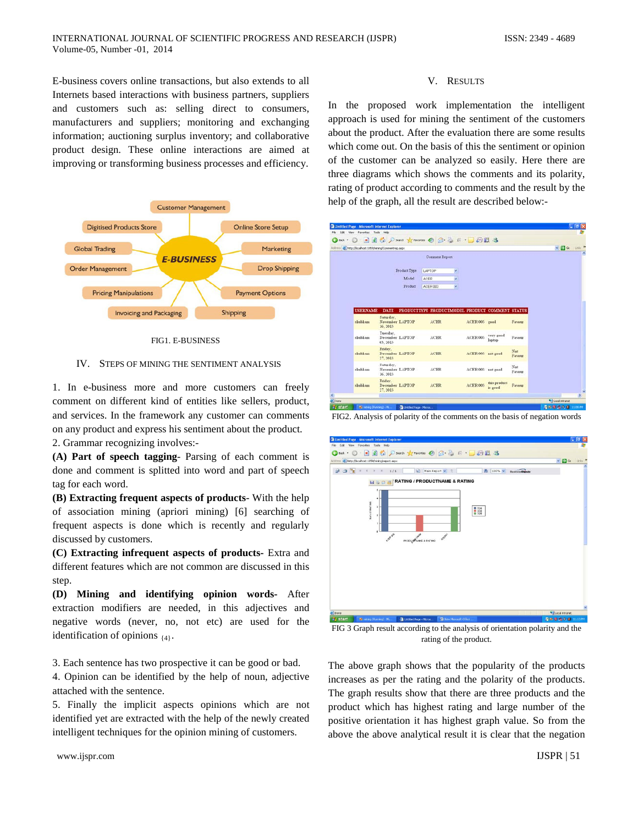E-business covers online transactions, but also extends to all Internets based interactions with business partners, suppliers and customers such as: selling direct to consumers, manufacturers and suppliers; monitoring and exchanging information; auctioning surplus inventory; and collaborative product design. These online interactions are aimed at improving or transforming business processes and efficiency.



FIG1. E-BUSINESS

#### IV. STEPS OF MINING THE SENTIMENT ANALYSIS

1. In e-business more and more customers can freely comment on different kind of entities like sellers, product, and services. In the framework any customer can comments on any product and express his sentiment about the product. 2. Grammar recognizing involves:-

**(A) Part of speech tagging**- Parsing of each comment is done and comment is splitted into word and part of speech tag for each word.

**(B) Extracting frequent aspects of products**- With the help of association mining (apriori mining) [6] searching of frequent aspects is done which is recently and regularly discussed by customers.

**(C) Extracting infrequent aspects of products-** Extra and different features which are not common are discussed in this step.

**(D) Mining and identifying opinion words-** After extraction modifiers are needed, in this adjectives and negative words (never, no, not etc) are used for the identification of opinions  $_{\{4\}}$ .

3. Each sentence has two prospective it can be good or bad.

4. Opinion can be identified by the help of noun, adjective attached with the sentence.

5. Finally the implicit aspects opinions which are not identified yet are extracted with the help of the newly created intelligent techniques for the opinion mining of customers.

In the proposed work implementation the intelligent approach is used for mining the sentiment of the customers about the product. After the evaluation there are some results which come out. On the basis of this the sentiment or opinion of the customer can be analyzed so easily. Here there are three diagrams which shows the comments and its polarity, rating of product according to comments and the result by the help of the graph, all the result are described below:-

| $(3 \text{ lat} \cdot \square)$ | ■ 2 ☆ Direct ☆ Persontes ④ △ △ E · ■ 約 数 3             |                |                                                 |                         |               |                |        |
|---------------------------------|--------------------------------------------------------|----------------|-------------------------------------------------|-------------------------|---------------|----------------|--------|
|                                 |                                                        |                |                                                 |                         |               |                | très M |
|                                 | Address @ http://localhost:1059/mining/Commentrep.aspx |                |                                                 |                         |               | $-20$          | ×      |
|                                 |                                                        | Comment Report |                                                 |                         |               |                |        |
|                                 | <b>Product Type</b>                                    | LAPTOP         |                                                 |                         |               |                |        |
|                                 | $M \wedge 4d$                                          | ACER           |                                                 |                         |               |                |        |
|                                 | Product                                                | ACER 003       |                                                 |                         |               |                |        |
|                                 |                                                        |                |                                                 |                         |               |                |        |
|                                 |                                                        |                |                                                 |                         |               |                |        |
|                                 |                                                        |                |                                                 |                         |               |                |        |
| <b>USERNAME</b>                 | <b>DATE</b>                                            |                | PRODUCTIYPE PRODUCTMODEL PRODUCT COMMENT STATUS |                         |               |                |        |
| shubham                         | Saturday.<br>November LAPTOP                           | <b>ACER</b>    | ACER 003 good                                   |                         | Favour        |                |        |
|                                 | 16, 2013                                               |                |                                                 |                         |               |                |        |
| shubham                         | Tuesday.<br>December LAPTOP<br>03.2013                 | ACER           | ACER 003                                        | very good<br>laptes     | Favour        |                |        |
| shubham.                        | Friday.<br>December LAPTOP<br>27.2013                  | ACER           | ACER 003 not good                               |                         | Not<br>Favour |                |        |
| shubham                         | Saturday.<br>November LAPTOP<br>16, 2013               | ACER           | ACER 003 not good                               |                         | Net<br>Favour |                |        |
| shubham                         | Friday.<br>December LAPTOP<br>27.2013                  | ACER           | ACER 003                                        | this product<br>is good | Favour        |                |        |
|                                 |                                                        |                |                                                 |                         |               | Local intranet |        |

FIG2. Analysis of polarity of the comments on the basis of negation words

|                   | I Untitled Page - Microsoft Internet Explorer                                           |                                                                       |                                                                                                                                                                                                                                                                                                                       | $ \sigma$             |                     |
|-------------------|-----------------------------------------------------------------------------------------|-----------------------------------------------------------------------|-----------------------------------------------------------------------------------------------------------------------------------------------------------------------------------------------------------------------------------------------------------------------------------------------------------------------|-----------------------|---------------------|
| File Edit<br>View | Tools<br>Heb<br>Favorites                                                               |                                                                       |                                                                                                                                                                                                                                                                                                                       |                       |                     |
| Back -<br>$\odot$ |                                                                                         | · NEO C Disect the Factories @ B B E · D D B B                        |                                                                                                                                                                                                                                                                                                                       |                       |                     |
|                   | Address & http://locahost:1059/mining/report.aspx                                       |                                                                       |                                                                                                                                                                                                                                                                                                                       | $\vee$ $\bigoplus$ Go | Links <sup>30</sup> |
| $-33$ $-1$<br>晶   | $\mathbb{N}$<br>1/1                                                                     | $\overline{\mathbf{L}}$<br>Main Report<br>茂                           | m<br>100% ₩<br><b>BusinessObjects</b>                                                                                                                                                                                                                                                                                 |                       |                     |
|                   | <b>HAOB</b><br>5.1<br>÷<br>Sum of RATING<br>2 <sub>1</sub><br>$2 +$<br>11<br>×<br>Longs | <b>RATING / PRODUCTNAME &amp; RATING</b><br>PRODUCTIONE & RAT NO KNOW | $\begin{array}{r} 0.001 \\ -0.014 \\ -0.0014 \\ -0.0014 \\ -0.0014 \\ -0.0014 \\ -0.0014 \\ -0.0014 \\ -0.0014 \\ -0.0014 \\ -0.0014 \\ -0.0014 \\ -0.0014 \\ -0.0014 \\ -0.0014 \\ -0.0014 \\ -0.0014 \\ -0.0014 \\ -0.0014 \\ -0.0014 \\ -0.0014 \\ -0.0014 \\ -0.0014 \\ -0.0014 \\ -0.0014 \\ -0.0014 \\ -0.0014$ |                       |                     |
|                   |                                                                                         |                                                                       |                                                                                                                                                                                                                                                                                                                       |                       |                     |
| <b>Done</b>       |                                                                                         |                                                                       | a kacamatan ing Kabupatèn Ka                                                                                                                                                                                                                                                                                          | Local Intranet        |                     |
| <b>Start</b>      | 50 mining (Running) - M                                                                 | Untilled Page - Micros<br><sup>D</sup> New Morosoft Office            |                                                                                                                                                                                                                                                                                                                       | 5000 000 00000        |                     |

FIG 3 Graph result according to the analysis of orientation polarity and the rating of the product.

The above graph shows that the popularity of the products increases as per the rating and the polarity of the products. The graph results show that there are three products and the product which has highest rating and large number of the positive orientation it has highest graph value. So from the above the above analytical result it is clear that the negation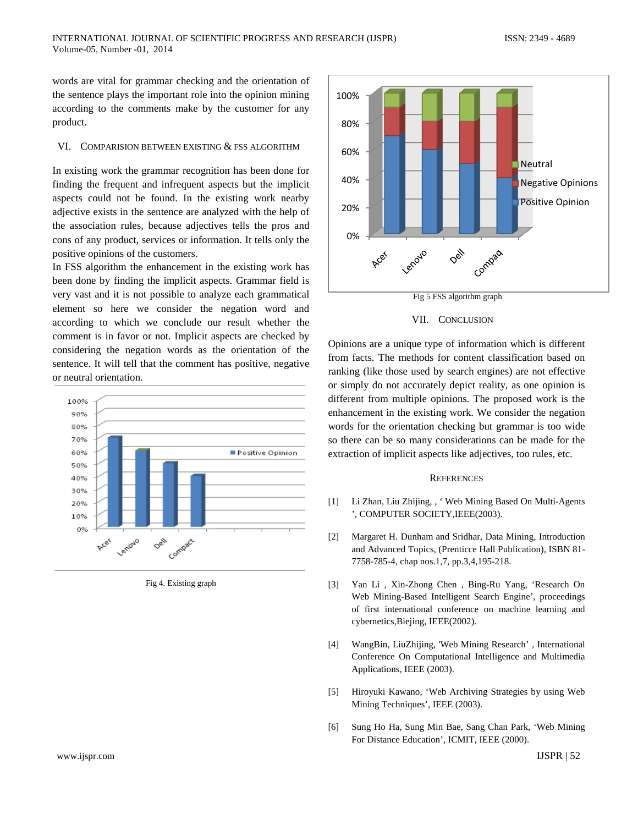words are vital for grammar checking and the orientation of the sentence plays the important role into the opinion mining according to the comments make by the customer for any product.

### VI. COMPARISION BETWEEN EXISTING & FSS ALGORITHM

In existing work the grammar recognition has been done for finding the frequent and infrequent aspects but the implicit aspects could not be found. In the existing work nearby adjective exists in the sentence are analyzed with the help of the association rules, because adjectives tells the pros and cons of any product, services or information. It tells only the positive opinions of the customers.

In FSS algorithm the enhancement in the existing work has been done by finding the implicit aspects. Grammar field is very vast and it is not possible to analyze each grammatical element so here we consider the negation word and according to which we conclude our result whether the comment is in favor or not. Implicit aspects are checked by considering the negation words as the orientation of the sentence. It will tell that the comment has positive, negative or neutral orientation.



Fig 4. Existing graph



VII. CONCLUSION

Opinions are a unique type of information which is different from facts. The methods for content classification based on ranking (like those used by search engines) are not effective or simply do not accurately depict reality, as one opinion is different from multiple opinions. The proposed work is the enhancement in the existing work. We consider the negation words for the orientation checking but grammar is too wide so there can be so many considerations can be made for the extraction of implicit aspects like adjectives, too rules, etc.

#### **REFERENCES**

- [1] Li Zhan, Liu Zhijing, , ' Web Mining Based On Multi-Agents ', COMPUTER SOCIETY,IEEE(2003).
- [2] Margaret H. Dunham and Sridhar, Data Mining, Introduction and Advanced Topics, (Prenticce Hall Publication), ISBN 81- 7758-785-4, chap nos.1,7, pp.3,4,195-218.
- [3] Yan Li , Xin-Zhong Chen , Bing-Ru Yang, 'Research On Web Mining-Based Intelligent Search Engine', proceedings of first international conference on machine learning and cybernetics,Biejing, IEEE(2002).
- [4] WangBin, LiuZhijing, 'Web Mining Research' , International Conference On Computational Intelligence and Multimedia Applications, IEEE (2003).
- [5] Hiroyuki Kawano, 'Web Archiving Strategies by using Web Mining Techniques', IEEE (2003).
- [6] Sung Ho Ha, Sung Min Bae, Sang Chan Park, 'Web Mining For Distance Education', ICMIT, IEEE (2000).